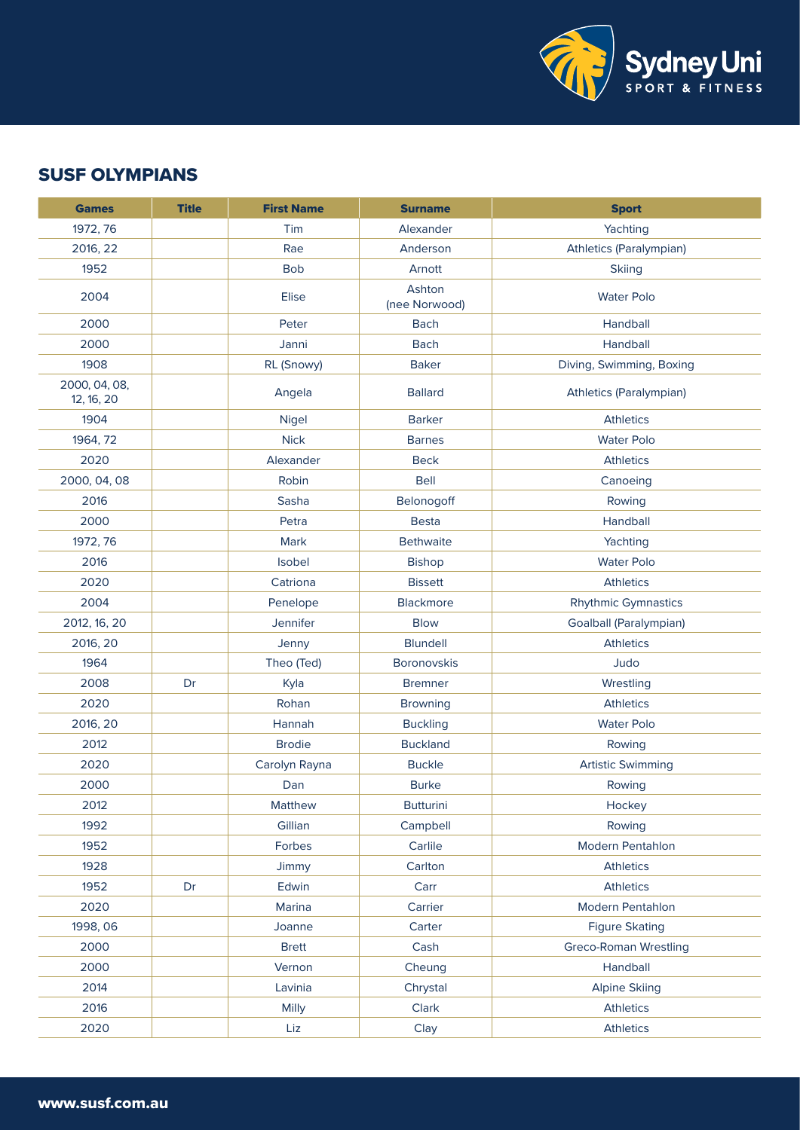

## SUSF OLYMPIANS

| <b>Games</b>                | <b>Title</b> | <b>First Name</b> | <b>Surname</b>          | <b>Sport</b>                 |
|-----------------------------|--------------|-------------------|-------------------------|------------------------------|
| 1972, 76                    |              | Tim               | Alexander               | Yachting                     |
| 2016, 22                    |              | Rae               | Anderson                | Athletics (Paralympian)      |
| 1952                        |              | <b>Bob</b>        | Arnott                  | <b>Skiing</b>                |
| 2004                        |              | Elise             | Ashton<br>(nee Norwood) | <b>Water Polo</b>            |
| 2000                        |              | Peter             | <b>Bach</b>             | Handball                     |
| 2000                        |              | Janni             | <b>Bach</b>             | Handball                     |
| 1908                        |              | RL (Snowy)        | <b>Baker</b>            | Diving, Swimming, Boxing     |
| 2000, 04, 08,<br>12, 16, 20 |              | Angela            | <b>Ballard</b>          | Athletics (Paralympian)      |
| 1904                        |              | Nigel             | <b>Barker</b>           | <b>Athletics</b>             |
| 1964, 72                    |              | <b>Nick</b>       | <b>Barnes</b>           | <b>Water Polo</b>            |
| 2020                        |              | Alexander         | <b>Beck</b>             | <b>Athletics</b>             |
| 2000, 04, 08                |              | Robin             | <b>Bell</b>             | Canoeing                     |
| 2016                        |              | Sasha             | Belonogoff              | Rowing                       |
| 2000                        |              | Petra             | <b>Besta</b>            | Handball                     |
| 1972, 76                    |              | Mark              | <b>Bethwaite</b>        | Yachting                     |
| 2016                        |              | Isobel            | <b>Bishop</b>           | <b>Water Polo</b>            |
| 2020                        |              | Catriona          | <b>Bissett</b>          | <b>Athletics</b>             |
| 2004                        |              | Penelope          | Blackmore               | <b>Rhythmic Gymnastics</b>   |
| 2012, 16, 20                |              | Jennifer          | <b>Blow</b>             | Goalball (Paralympian)       |
| 2016, 20                    |              | Jenny             | <b>Blundell</b>         | <b>Athletics</b>             |
| 1964                        |              | Theo (Ted)        | <b>Boronovskis</b>      | Judo                         |
| 2008                        | Dr           | Kyla              | <b>Bremner</b>          | Wrestling                    |
| 2020                        |              | Rohan             | <b>Browning</b>         | <b>Athletics</b>             |
| 2016, 20                    |              | Hannah            | <b>Buckling</b>         | <b>Water Polo</b>            |
| 2012                        |              | <b>Brodie</b>     | <b>Buckland</b>         | Rowing                       |
| 2020                        |              | Carolyn Rayna     | <b>Buckle</b>           | <b>Artistic Swimming</b>     |
| 2000                        |              | Dan               | <b>Burke</b>            | Rowing                       |
| 2012                        |              | Matthew           | <b>Butturini</b>        | Hockey                       |
| 1992                        |              | Gillian           | Campbell                | Rowing                       |
| 1952                        |              | Forbes            | Carlile                 | Modern Pentahlon             |
| 1928                        |              | Jimmy             | Carlton                 | <b>Athletics</b>             |
| 1952                        | Dr           | Edwin             | Carr                    | <b>Athletics</b>             |
| 2020                        |              | Marina            | Carrier                 | Modern Pentahlon             |
| 1998, 06                    |              | Joanne            | Carter                  | <b>Figure Skating</b>        |
| 2000                        |              | <b>Brett</b>      | Cash                    | <b>Greco-Roman Wrestling</b> |
| 2000                        |              | Vernon            | Cheung                  | Handball                     |
| 2014                        |              | Lavinia           | Chrystal                | <b>Alpine Skiing</b>         |
| 2016                        |              | Milly             | Clark                   | <b>Athletics</b>             |
| 2020                        |              | Liz               | Clay                    | <b>Athletics</b>             |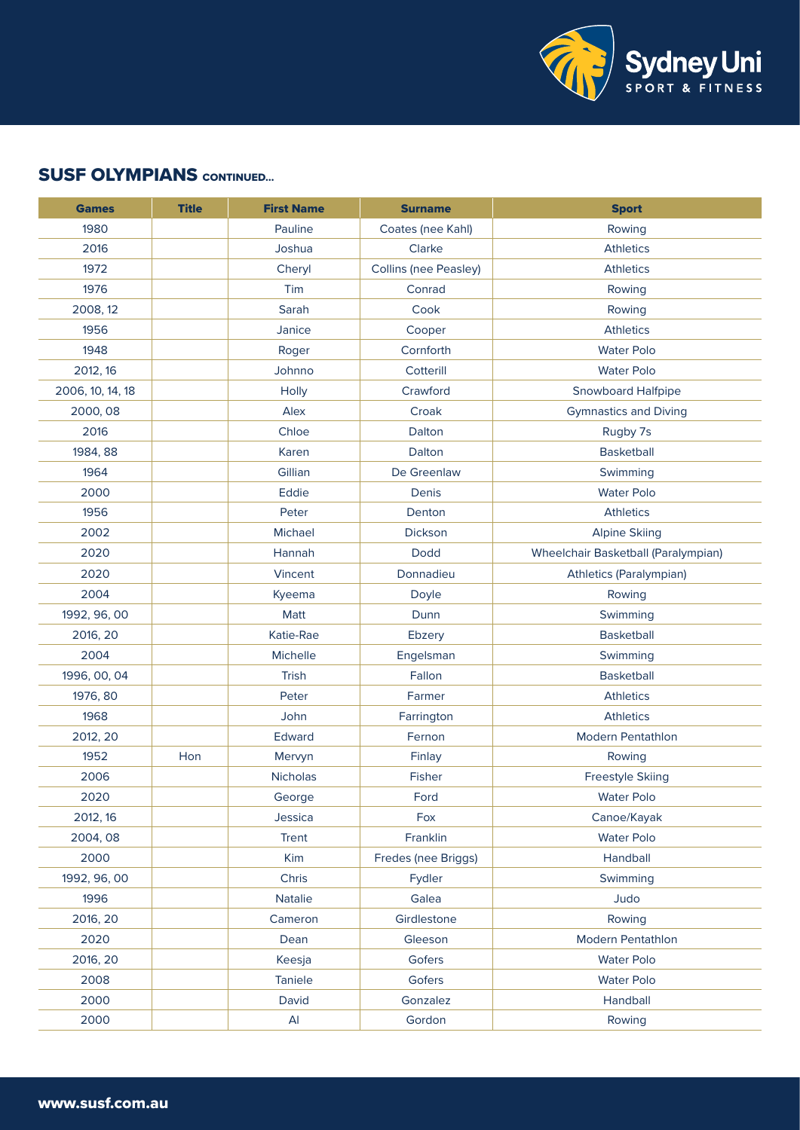

| <b>Games</b>     | <b>Title</b> | <b>First Name</b> | <b>Surname</b>               | <b>Sport</b>                        |
|------------------|--------------|-------------------|------------------------------|-------------------------------------|
| 1980             |              | Pauline           | Coates (nee Kahl)            | Rowing                              |
| 2016             |              | Joshua            | Clarke                       | <b>Athletics</b>                    |
| 1972             |              | Cheryl            | <b>Collins (nee Peasley)</b> | <b>Athletics</b>                    |
| 1976             |              | Tim               | Conrad                       | Rowing                              |
| 2008, 12         |              | Sarah             | Cook                         | Rowing                              |
| 1956             |              | Janice            | Cooper                       | <b>Athletics</b>                    |
| 1948             |              | Roger             | Cornforth                    | <b>Water Polo</b>                   |
| 2012, 16         |              | Johnno            | Cotterill                    | <b>Water Polo</b>                   |
| 2006, 10, 14, 18 |              | Holly             | Crawford                     | <b>Snowboard Halfpipe</b>           |
| 2000, 08         |              | Alex              | Croak                        | <b>Gymnastics and Diving</b>        |
| 2016             |              | Chloe             | Dalton                       | Rugby 7s                            |
| 1984, 88         |              | Karen             | Dalton                       | <b>Basketball</b>                   |
| 1964             |              | Gillian           | De Greenlaw                  | Swimming                            |
| 2000             |              | Eddie             | Denis                        | <b>Water Polo</b>                   |
| 1956             |              | Peter             | Denton                       | <b>Athletics</b>                    |
| 2002             |              | Michael           | Dickson                      | <b>Alpine Skiing</b>                |
| 2020             |              | Hannah            | Dodd                         | Wheelchair Basketball (Paralympian) |
| 2020             |              | Vincent           | Donnadieu                    | Athletics (Paralympian)             |
| 2004             |              | Kyeema            | Doyle                        | Rowing                              |
| 1992, 96, 00     |              | Matt              | Dunn                         | Swimming                            |
| 2016, 20         |              | Katie-Rae         | Ebzery                       | <b>Basketball</b>                   |
| 2004             |              | Michelle          | Engelsman                    | Swimming                            |
| 1996, 00, 04     |              | <b>Trish</b>      | Fallon                       | <b>Basketball</b>                   |
| 1976, 80         |              | Peter             | Farmer                       | <b>Athletics</b>                    |
| 1968             |              | John              | Farrington                   | <b>Athletics</b>                    |
| 2012, 20         |              | Edward            | Fernon                       | Modern Pentathlon                   |
| 1952             | Hon          | Mervyn            | Finlay                       | Rowing                              |
| 2006             |              | Nicholas          | Fisher                       | <b>Freestyle Skiing</b>             |
| 2020             |              | George            | Ford                         | <b>Water Polo</b>                   |
| 2012, 16         |              | Jessica           | Fox                          | Canoe/Kayak                         |
| 2004, 08         |              | Trent             | Franklin                     | <b>Water Polo</b>                   |
| 2000             |              | Kim               | Fredes (nee Briggs)          | Handball                            |
| 1992, 96, 00     |              | Chris             | Fydler                       | Swimming                            |
| 1996             |              | <b>Natalie</b>    | Galea                        | Judo                                |
| 2016, 20         |              | Cameron           | Girdlestone                  | Rowing                              |
| 2020             |              | Dean              | Gleeson                      | <b>Modern Pentathlon</b>            |
| 2016, 20         |              | Keesja            | Gofers                       | <b>Water Polo</b>                   |
| 2008             |              | Taniele           | Gofers                       | <b>Water Polo</b>                   |
| 2000             |              | David             | Gonzalez                     | Handball                            |
| 2000             |              | Al                | Gordon                       | Rowing                              |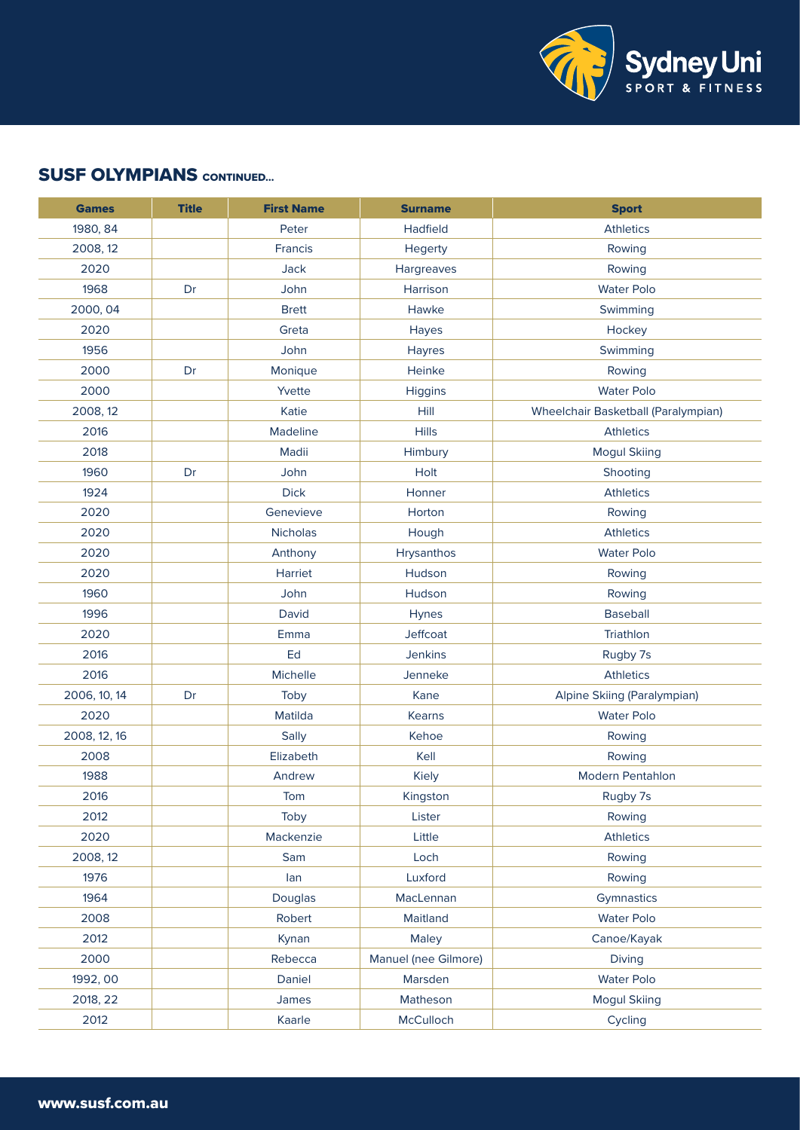

| <b>Games</b> | <b>Title</b> | <b>First Name</b> | <b>Surname</b>       | <b>Sport</b>                        |
|--------------|--------------|-------------------|----------------------|-------------------------------------|
| 1980, 84     |              | Peter             | Hadfield             | <b>Athletics</b>                    |
| 2008, 12     |              | Francis           | Hegerty              | Rowing                              |
| 2020         |              | Jack              | Hargreaves           | Rowing                              |
| 1968         | Dr           | John              | Harrison             | <b>Water Polo</b>                   |
| 2000, 04     |              | <b>Brett</b>      | Hawke                | Swimming                            |
| 2020         |              | Greta             | Hayes                | Hockey                              |
| 1956         |              | John              | Hayres               | Swimming                            |
| 2000         | Dr           | Monique           | Heinke               | Rowing                              |
| 2000         |              | Yvette            | Higgins              | <b>Water Polo</b>                   |
| 2008, 12     |              | Katie             | Hill                 | Wheelchair Basketball (Paralympian) |
| 2016         |              | Madeline          | <b>Hills</b>         | <b>Athletics</b>                    |
| 2018         |              | Madii             | Himbury              | <b>Mogul Skiing</b>                 |
| 1960         | Dr           | John              | Holt                 | Shooting                            |
| 1924         |              | <b>Dick</b>       | Honner               | <b>Athletics</b>                    |
| 2020         |              | Genevieve         | Horton               | Rowing                              |
| 2020         |              | Nicholas          | Hough                | <b>Athletics</b>                    |
| 2020         |              | Anthony           | Hrysanthos           | <b>Water Polo</b>                   |
| 2020         |              | Harriet           | Hudson               | Rowing                              |
| 1960         |              | John              | Hudson               | Rowing                              |
| 1996         |              | David             | Hynes                | <b>Baseball</b>                     |
| 2020         |              | Emma              | Jeffcoat             | Triathlon                           |
| 2016         |              | Ed                | <b>Jenkins</b>       | Rugby 7s                            |
| 2016         |              | Michelle          | Jenneke              | <b>Athletics</b>                    |
| 2006, 10, 14 | Dr           | Toby              | Kane                 | Alpine Skiing (Paralympian)         |
| 2020         |              | Matilda           | Kearns               | <b>Water Polo</b>                   |
| 2008, 12, 16 |              | Sally             | Kehoe                | Rowing                              |
| 2008         |              | Elizabeth         | Kell                 | Rowing                              |
| 1988         |              | Andrew            | Kiely                | <b>Modern Pentahlon</b>             |
| 2016         |              | Tom               | Kingston             | Rugby 7s                            |
| 2012         |              | Toby              | Lister               | Rowing                              |
| 2020         |              | Mackenzie         | Little               | <b>Athletics</b>                    |
| 2008, 12     |              | Sam               | Loch                 | Rowing                              |
| 1976         |              | lan               | Luxford              | Rowing                              |
| 1964         |              | Douglas           | MacLennan            | Gymnastics                          |
| 2008         |              | Robert            | Maitland             | <b>Water Polo</b>                   |
| 2012         |              | Kynan             | Maley                | Canoe/Kayak                         |
| 2000         |              | Rebecca           | Manuel (nee Gilmore) | Diving                              |
| 1992, 00     |              | Daniel            | Marsden              | <b>Water Polo</b>                   |
| 2018, 22     |              | James             | Matheson             | <b>Mogul Skiing</b>                 |
| 2012         |              | Kaarle            | McCulloch            | Cycling                             |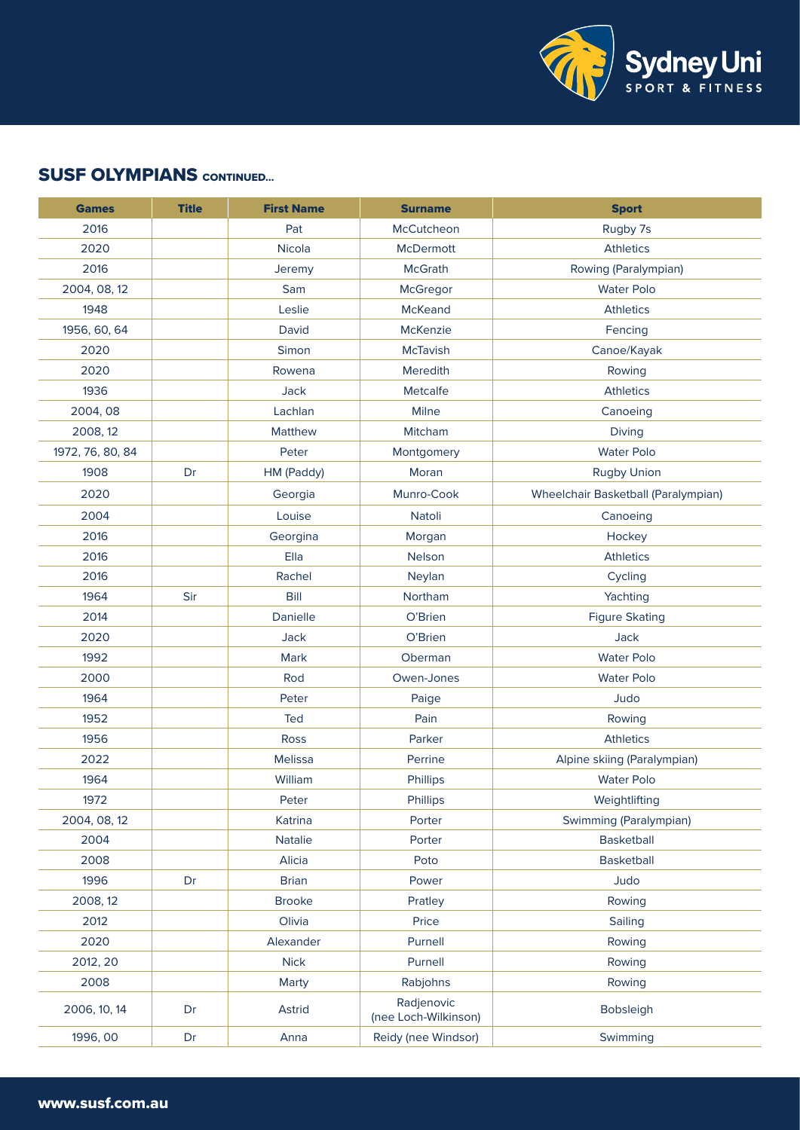

| <b>Games</b>     | <b>Title</b> | <b>First Name</b> | <b>Surname</b>                     | <b>Sport</b>                        |
|------------------|--------------|-------------------|------------------------------------|-------------------------------------|
| 2016             |              | Pat               | McCutcheon                         | Rugby 7s                            |
| 2020             |              | Nicola            | <b>McDermott</b>                   | <b>Athletics</b>                    |
| 2016             |              | Jeremy            | <b>McGrath</b>                     | Rowing (Paralympian)                |
| 2004, 08, 12     |              | Sam               | McGregor                           | <b>Water Polo</b>                   |
| 1948             |              | Leslie            | <b>McKeand</b>                     | <b>Athletics</b>                    |
| 1956, 60, 64     |              | David             | McKenzie                           | Fencing                             |
| 2020             |              | Simon             | <b>McTavish</b>                    | Canoe/Kayak                         |
| 2020             |              | Rowena            | Meredith                           | Rowing                              |
| 1936             |              | Jack              | Metcalfe                           | <b>Athletics</b>                    |
| 2004, 08         |              | Lachlan           | Milne                              | Canoeing                            |
| 2008, 12         |              | <b>Matthew</b>    | Mitcham                            | Diving                              |
| 1972, 76, 80, 84 |              | Peter             | Montgomery                         | <b>Water Polo</b>                   |
| 1908             | Dr           | HM (Paddy)        | Moran                              | <b>Rugby Union</b>                  |
| 2020             |              | Georgia           | Munro-Cook                         | Wheelchair Basketball (Paralympian) |
| 2004             |              | Louise            | Natoli                             | Canoeing                            |
| 2016             |              | Georgina          | Morgan                             | Hockey                              |
| 2016             |              | Ella              | Nelson                             | <b>Athletics</b>                    |
| 2016             |              | Rachel            | Neylan                             | Cycling                             |
| 1964             | Sir          | Bill              | Northam                            | Yachting                            |
| 2014             |              | Danielle          | O'Brien                            | <b>Figure Skating</b>               |
| 2020             |              | Jack              | O'Brien                            | Jack                                |
| 1992             |              | Mark              | Oberman                            | <b>Water Polo</b>                   |
| 2000             |              | Rod               | Owen-Jones                         | <b>Water Polo</b>                   |
| 1964             |              | Peter             | Paige                              | Judo                                |
| 1952             |              | Ted               | Pain                               | Rowing                              |
| 1956             |              | <b>Ross</b>       | Parker                             | <b>Athletics</b>                    |
| 2022             |              | Melissa           | Perrine                            | Alpine skiing (Paralympian)         |
| 1964             |              | William           | Phillips                           | <b>Water Polo</b>                   |
| 1972             |              | Peter             | Phillips                           | Weightlifting                       |
| 2004, 08, 12     |              | Katrina           | Porter                             | Swimming (Paralympian)              |
| 2004             |              | Natalie           | Porter                             | <b>Basketball</b>                   |
| 2008             |              | Alicia            | Poto                               | Basketball                          |
| 1996             | Dr           | <b>Brian</b>      | Power                              | Judo                                |
| 2008, 12         |              | <b>Brooke</b>     | Pratley                            | Rowing                              |
| 2012             |              | Olivia            | Price                              | Sailing                             |
| 2020             |              | Alexander         | Purnell                            | Rowing                              |
| 2012, 20         |              | <b>Nick</b>       | Purnell                            | Rowing                              |
| 2008             |              | Marty             | Rabjohns                           | Rowing                              |
| 2006, 10, 14     | Dr           | Astrid            | Radjenovic<br>(nee Loch-Wilkinson) | Bobsleigh                           |
| 1996, 00         | Dr           | Anna              | Reidy (nee Windsor)                | Swimming                            |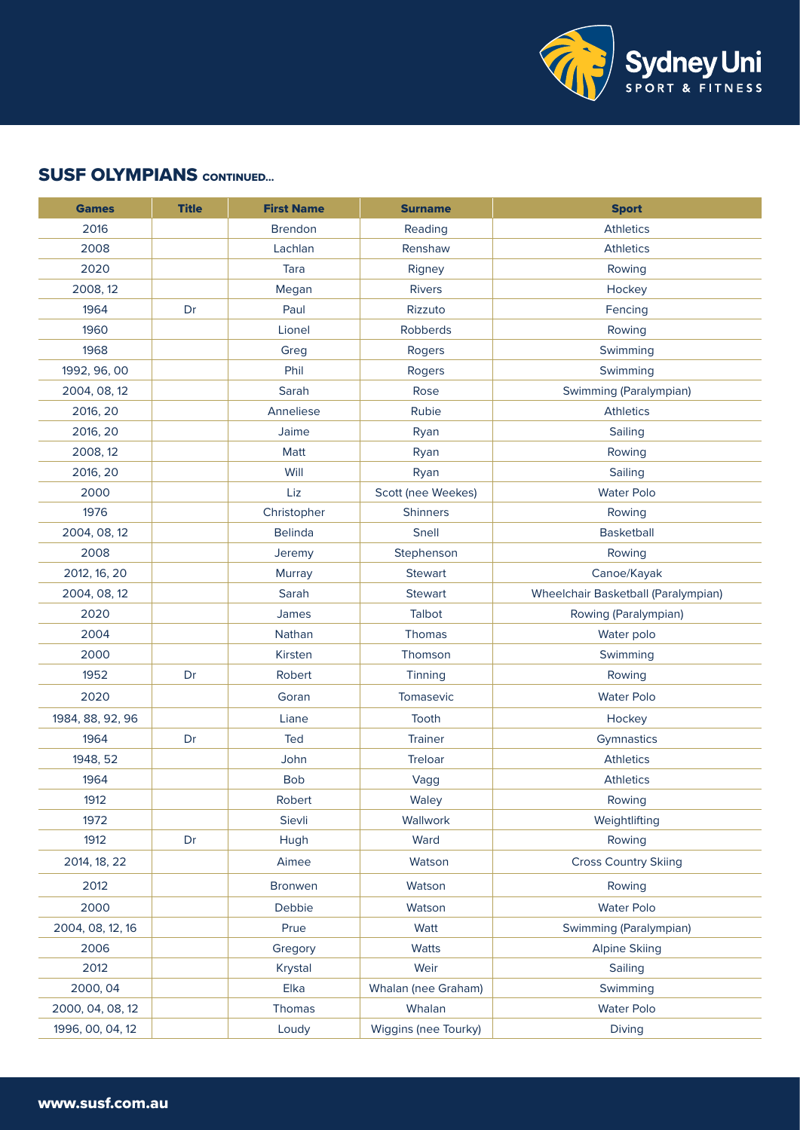

| <b>Games</b>     | <b>Title</b> | <b>First Name</b> | <b>Surname</b>       | <b>Sport</b>                        |
|------------------|--------------|-------------------|----------------------|-------------------------------------|
| 2016             |              | <b>Brendon</b>    | Reading              | <b>Athletics</b>                    |
| 2008             |              | Lachlan           | Renshaw              | <b>Athletics</b>                    |
| 2020             |              | Tara              | Rigney               | Rowing                              |
| 2008, 12         |              | Megan             | <b>Rivers</b>        | Hockey                              |
| 1964             | Dr           | Paul              | Rizzuto              | Fencing                             |
| 1960             |              | Lionel            | Robberds             | Rowing                              |
| 1968             |              | Greg              | Rogers               | Swimming                            |
| 1992, 96, 00     |              | Phil              | Rogers               | Swimming                            |
| 2004, 08, 12     |              | Sarah             | Rose                 | Swimming (Paralympian)              |
| 2016, 20         |              | Anneliese         | Rubie                | Athletics                           |
| 2016, 20         |              | Jaime             | Ryan                 | Sailing                             |
| 2008, 12         |              | Matt              | Ryan                 | Rowing                              |
| 2016, 20         |              | Will              | Ryan                 | Sailing                             |
| 2000             |              | Liz               | Scott (nee Weekes)   | <b>Water Polo</b>                   |
| 1976             |              | Christopher       | <b>Shinners</b>      | Rowing                              |
| 2004, 08, 12     |              | <b>Belinda</b>    | Snell                | <b>Basketball</b>                   |
| 2008             |              | Jeremy            | Stephenson           | Rowing                              |
| 2012, 16, 20     |              | <b>Murray</b>     | <b>Stewart</b>       | Canoe/Kayak                         |
| 2004, 08, 12     |              | Sarah             | <b>Stewart</b>       | Wheelchair Basketball (Paralympian) |
| 2020             |              | James             | Talbot               | Rowing (Paralympian)                |
| 2004             |              | Nathan            | Thomas               | Water polo                          |
| 2000             |              | Kirsten           | Thomson              | Swimming                            |
| 1952             | Dr           | Robert            | Tinning              | Rowing                              |
| 2020             |              | Goran             | Tomasevic            | <b>Water Polo</b>                   |
| 1984, 88, 92, 96 |              | Liane             | Tooth                | Hockey                              |
| 1964             | Dr           | Ted               | Trainer              | Gymnastics                          |
| 1948, 52         |              | John              | Treloar              | <b>Athletics</b>                    |
| 1964             |              | <b>Bob</b>        | Vagg                 | <b>Athletics</b>                    |
| 1912             |              | Robert            | Waley                | Rowing                              |
| 1972             |              | Sievli            | Wallwork             | Weightlifting                       |
| 1912             | Dr           | Hugh              | Ward                 | Rowing                              |
| 2014, 18, 22     |              | Aimee             | Watson               | <b>Cross Country Skiing</b>         |
| 2012             |              | Bronwen           | Watson               | Rowing                              |
| 2000             |              | Debbie            | Watson               | <b>Water Polo</b>                   |
| 2004, 08, 12, 16 |              | Prue              | Watt                 | Swimming (Paralympian)              |
| 2006             |              | Gregory           | Watts                | <b>Alpine Skiing</b>                |
| 2012             |              | Krystal           | Weir                 | Sailing                             |
| 2000, 04         |              | Elka              | Whalan (nee Graham)  | Swimming                            |
| 2000, 04, 08, 12 |              | <b>Thomas</b>     | Whalan               | <b>Water Polo</b>                   |
| 1996, 00, 04, 12 |              | Loudy             | Wiggins (nee Tourky) | Diving                              |